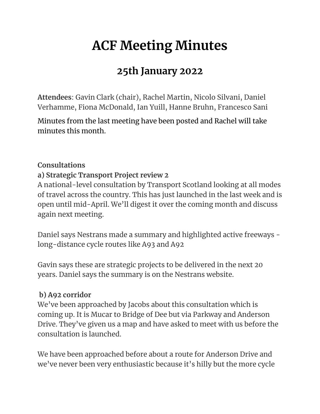# **ACF Meeting Minutes**

# **25th January 2022**

**Attendees**: Gavin Clark (chair), Rachel Martin, Nicolo Silvani, Daniel Verhamme, Fiona McDonald, Ian Yuill, Hanne Bruhn, Francesco Sani

Minutes from the last meeting have been posted and Rachel will take minutes this month.

## **Consultations**

## **a) Strategic Transport Project review 2**

A national-level consultation by Transport Scotland looking at all modes of travel across the country. This has just launched in the last week and is open until mid-April. We'll digest it over the coming month and discuss again next meeting.

Daniel says Nestrans made a summary and highlighted active freeways long-distance cycle routes like A93 and A92

Gavin says these are strategic projects to be delivered in the next 20 years. Daniel says the summary is on the Nestrans website.

# **b) A92 corridor**

We've been approached by Jacobs about this consultation which is coming up. It is Mucar to Bridge of Dee but via Parkway and Anderson Drive. They've given us a map and have asked to meet with us before the consultation is launched.

We have been approached before about a route for Anderson Drive and we've never been very enthusiastic because it's hilly but the more cycle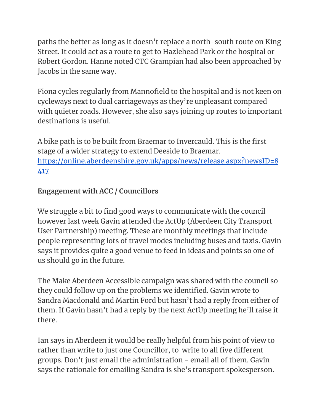paths the better as long as it doesn't replace a north-south route on King Street. It could act as a route to get to Hazlehead Park or the hospital or Robert Gordon. Hanne noted CTC Grampian had also been approached by Jacobs in the same way.

Fiona cycles regularly from Mannofield to the hospital and is not keen on cycleways next to dual carriageways as they're unpleasant compared with quieter roads. However, she also says joining up routes to important destinations is useful.

A bike path is to be built from Braemar to Invercauld. This is the first stage of a wider strategy to extend Deeside to Braemar. [https://online.aberdeenshire.gov.uk/apps/news/release.aspx?newsID=8](https://online.aberdeenshire.gov.uk/apps/news/release.aspx?newsID=8417) [417](https://online.aberdeenshire.gov.uk/apps/news/release.aspx?newsID=8417)

# **Engagement with ACC / Councillors**

We struggle a bit to find good ways to communicate with the council however last week Gavin attended the ActUp (Aberdeen City Transport User Partnership) meeting. These are monthly meetings that include people representing lots of travel modes including buses and taxis. Gavin says it provides quite a good venue to feed in ideas and points so one of us should go in the future.

The Make Aberdeen Accessible campaign was shared with the council so they could follow up on the problems we identified. Gavin wrote to Sandra Macdonald and Martin Ford but hasn't had a reply from either of them. If Gavin hasn't had a reply by the next ActUp meeting he'll raise it there.

Ian says in Aberdeen it would be really helpful from his point of view to rather than write to just one Councillor, to write to all five different groups. Don't just email the administration - email all of them. Gavin says the rationale for emailing Sandra is she's transport spokesperson.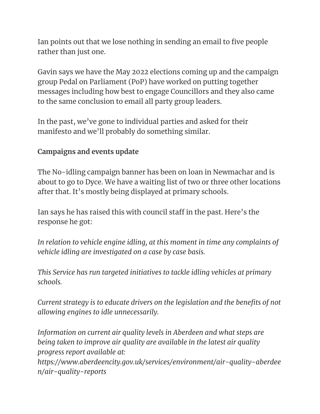Ian points out that we lose nothing in sending an email to five people rather than just one.

Gavin says we have the May 2022 elections coming up and the campaign group Pedal on Parliament (PoP) have worked on putting together messages including how best to engage Councillors and they also came to the same conclusion to email all party group leaders.

In the past, we've gone to individual parties and asked for their manifesto and we'll probably do something similar.

## **Campaigns and events update**

The No-idling campaign banner has been on loan in Newmachar and is about to go to Dyce. We have a waiting list of two or three other locations after that. It's mostly being displayed at primary schools.

Ian says he has raised this with council staff in the past. Here's the response he got:

*In relation to vehicle engine idling, at this moment in time any complaints of vehicle idling are investigated on a case by case basis.*

*This Service has run targeted initiatives to tackle idling vehicles at primary schools.*

*Current strategy is to educate drivers on the legislation and the benefits of not allowing engines to idle unnecessarily.*

*Information on current air quality levels in Aberdeen and what steps are being taken to improve air quality are available in the latest air quality progress report available at: https://www.aberdeencity.gov.uk/services/environment/air-quality-aberdee n/air-quality-reports*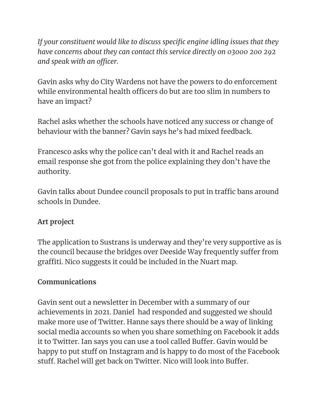*If your constituent would like to discuss specific engine idling issues that they have concerns about they can contact this service directly on 03000 200 292 and speak with an officer.*

Gavin asks why do City Wardens not have the powers to do enforcement while environmental health officers do but are too slim in numbers to have an impact?

Rachel asks whether the schools have noticed any success or change of behaviour with the banner? Gavin says he's had mixed feedback.

Francesco asks why the police can't deal with it and Rachel reads an email response she got from the police explaining they don't have the authority.

Gavin talks about Dundee council proposals to put in traffic bans around schools in Dundee.

# **Art project**

The application to Sustrans is underway and they're very supportive as is the council because the bridges over Deeside Way frequently suffer from graffiti. Nico suggests it could be included in the Nuart map.

# **Communications**

Gavin sent out a newsletter in December with a summary of our achievements in 2021. Daniel had responded and suggested we should make more use of Twitter. Hanne says there should be a way of linking social media accounts so when you share something on Facebook it adds it to Twitter. Ian says you can use a tool called Buffer. Gavin would be happy to put stuff on Instagram and is happy to do most of the Facebook stuff. Rachel will get back on Twitter. Nico will look into Buffer.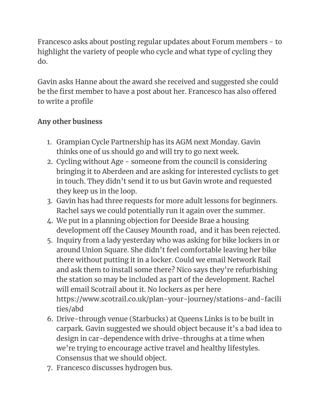Francesco asks about posting regular updates about Forum members - to highlight the variety of people who cycle and what type of cycling they do.

Gavin asks Hanne about the award she received and suggested she could be the first member to have a post about her. Francesco has also offered to write a profile

# **Any other business**

- 1. Grampian Cycle Partnership has its AGM next Monday. Gavin thinks one of us should go and will try to go next week.
- 2. Cycling without Age someone from the council is considering bringing it to Aberdeen and are asking for interested cyclists to get in touch. They didn't send it to us but Gavin wrote and requested they keep us in the loop.
- 3. Gavin has had three requests for more adult lessons for beginners. Rachel says we could potentially run it again over the summer.
- 4. We put in a planning objection for Deeside Brae a housing development off the Causey Mounth road, and it has been rejected.
- 5. Inquiry from a lady yesterday who was asking for bike lockers in or around Union Square. She didn't feel comfortable leaving her bike there without putting it in a locker. Could we email Network Rail and ask them to install some there? Nico says they're refurbishing the station so may be included as part of the development. Rachel will email Scotrail about it. No lockers as per here https://www.scotrail.co.uk/plan-your-journey/stations-and-facili ties/abd
- 6. Drive-through venue (Starbucks) at Queens Links is to be built in carpark. Gavin suggested we should object because it's a bad idea to design in car-dependence with drive-throughs at a time when we're trying to encourage active travel and healthy lifestyles. Consensus that we should object.
- 7. Francesco discusses hydrogen bus.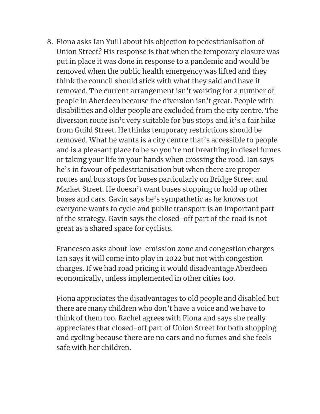8. Fiona asks Ian Yuill about his objection to pedestrianisation of Union Street? His response is that when the temporary closure was put in place it was done in response to a pandemic and would be removed when the public health emergency was lifted and they think the council should stick with what they said and have it removed. The current arrangement isn't working for a number of people in Aberdeen because the diversion isn't great. People with disabilities and older people are excluded from the city centre. The diversion route isn't very suitable for bus stops and it's a fair hike from Guild Street. He thinks temporary restrictions should be removed. What he wants is a city centre that's accessible to people and is a pleasant place to be so you're not breathing in diesel fumes or taking your life in your hands when crossing the road. Ian says he's in favour of pedestrianisation but when there are proper routes and bus stops for buses particularly on Bridge Street and Market Street. He doesn't want buses stopping to hold up other buses and cars. Gavin says he's sympathetic as he knows not everyone wants to cycle and public transport is an important part of the strategy. Gavin says the closed-off part of the road is not great as a shared space for cyclists.

Francesco asks about low-emission zone and congestion charges - Ian says it will come into play in 2022 but not with congestion charges. If we had road pricing it would disadvantage Aberdeen economically, unless implemented in other cities too.

Fiona appreciates the disadvantages to old people and disabled but there are many children who don't have a voice and we have to think of them too. Rachel agrees with Fiona and says she really appreciates that closed-off part of Union Street for both shopping and cycling because there are no cars and no fumes and she feels safe with her children.